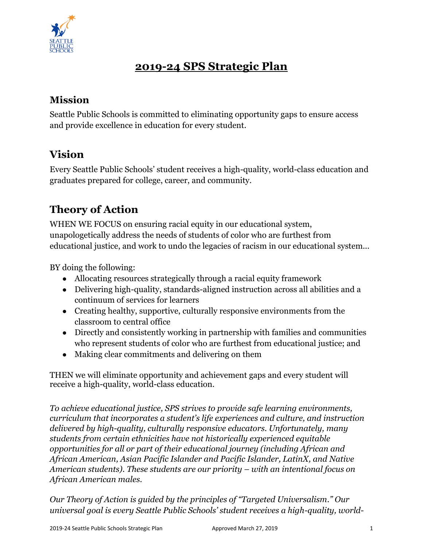

# **2019-24 SPS Strategic Plan**

### **Mission**

Seattle Public Schools is committed to eliminating opportunity gaps to ensure access and provide excellence in education for every student.

## **Vision**

Every Seattle Public Schools' student receives a high-quality, world-class education and graduates prepared for college, career, and community.

# **Theory of Action**

WHEN WE FOCUS on ensuring racial equity in our educational system, unapologetically address the needs of students of color who are furthest from educational justice, and work to undo the legacies of racism in our educational system...

BY doing the following:

- Allocating resources strategically through a racial equity framework
- Delivering high-quality, standards-aligned instruction across all abilities and a continuum of services for learners
- Creating healthy, supportive, culturally responsive environments from the classroom to central office
- Directly and consistently working in partnership with families and communities who represent students of color who are furthest from educational justice; and
- Making clear commitments and delivering on them

THEN we will eliminate opportunity and achievement gaps and every student will receive a high-quality, world-class education.

*To achieve educational justice, SPS strives to provide safe learning environments, curriculum that incorporates a student's life experiences and culture, and instruction delivered by high-quality, culturally responsive educators. Unfortunately, many students from certain ethnicities have not historically experienced equitable opportunities for all or part of their educational journey (including African and African American, Asian Pacific Islander and Pacific Islander, LatinX, and Native American students). These students are our priority – with an intentional focus on African American males.* 

*Our Theory of Action is guided by the principles of "Targeted Universalism." Our universal goal is every Seattle Public Schools' student receives a high-quality, world-*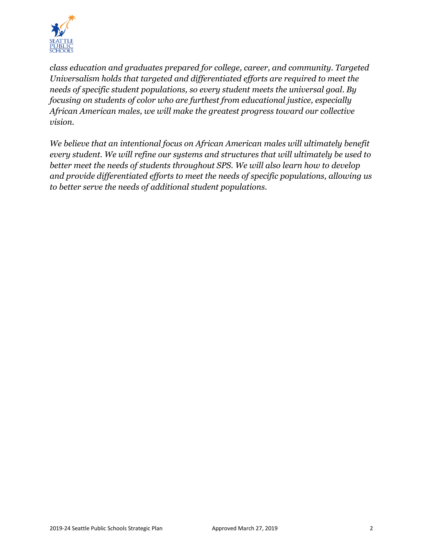

*class education and graduates prepared for college, career, and community. Targeted Universalism holds that targeted and differentiated efforts are required to meet the needs of specific student populations, so every student meets the universal goal. By focusing on students of color who are furthest from educational justice, especially African American males, we will make the greatest progress toward our collective vision.*

*We believe that an intentional focus on African American males will ultimately benefit every student. We will refine our systems and structures that will ultimately be used to better meet the needs of students throughout SPS. We will also learn how to develop and provide differentiated efforts to meet the needs of specific populations, allowing us to better serve the needs of additional student populations.*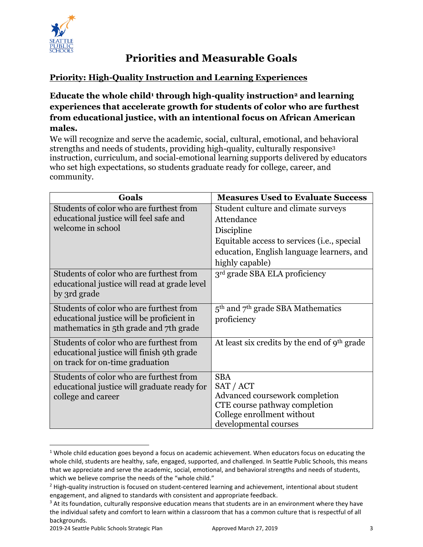

## **Priorities and Measurable Goals**

### **Priority: High-Quality Instruction and Learning Experiences**

#### **Educate the whole child<sup>1</sup> through high-quality instruction<sup>2</sup> and learning experiences that accelerate growth for students of color who are furthest from educational justice, with an intentional focus on African American males.**

We will recognize and serve the academic, social, cultural, emotional, and behavioral strengths and needs of students, providing high-quality, culturally responsive<sup>3</sup> instruction, curriculum, and social-emotional learning supports delivered by educators who set high expectations, so students graduate ready for college, career, and community.

| Goals                                        | <b>Measures Used to Evaluate Success</b>     |
|----------------------------------------------|----------------------------------------------|
| Students of color who are furthest from      | Student culture and climate surveys          |
| educational justice will feel safe and       | Attendance                                   |
| welcome in school                            | Discipline                                   |
|                                              | Equitable access to services (i.e., special  |
|                                              | education, English language learners, and    |
|                                              | highly capable)                              |
| Students of color who are furthest from      | 3 <sup>rd</sup> grade SBA ELA proficiency    |
| educational justice will read at grade level |                                              |
| by 3rd grade                                 |                                              |
| Students of color who are furthest from      | $5th$ and $7th$ grade SBA Mathematics        |
| educational justice will be proficient in    | proficiency                                  |
| mathematics in 5th grade and 7th grade       |                                              |
| Students of color who are furthest from      | At least six credits by the end of 9th grade |
| educational justice will finish 9th grade    |                                              |
| on track for on-time graduation              |                                              |
| Students of color who are furthest from      | <b>SBA</b>                                   |
| educational justice will graduate ready for  | SAT / ACT                                    |
| college and career                           | Advanced coursework completion               |
|                                              | CTE course pathway completion                |
|                                              | College enrollment without                   |
|                                              | developmental courses                        |

 $1$  Whole child education goes beyond a focus on academic achievement. When educators focus on educating the whole child, students are healthy, safe, engaged, supported, and challenged. In Seattle Public Schools, this means that we appreciate and serve the academic, social, emotional, and behavioral strengths and needs of students, which we believe comprise the needs of the "whole child."

 $\overline{\phantom{a}}$ 

<sup>&</sup>lt;sup>2</sup> High-quality instruction is focused on student-centered learning and achievement, intentional about student engagement, and aligned to standards with consistent and appropriate feedback.

<sup>&</sup>lt;sup>3</sup> At its foundation, culturally responsive education means that students are in an environment where they have the individual safety and comfort to learn within a classroom that has a common culture that is respectful of all backgrounds.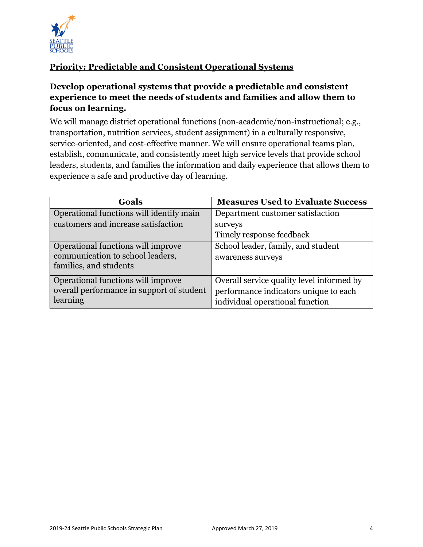

### **Priority: Predictable and Consistent Operational Systems**

#### **Develop operational systems that provide a predictable and consistent experience to meet the needs of students and families and allow them to focus on learning.**

We will manage district operational functions (non-academic/non-instructional; e.g., transportation, nutrition services, student assignment) in a culturally responsive, service-oriented, and cost-effective manner. We will ensure operational teams plan, establish, communicate, and consistently meet high service levels that provide school leaders, students, and families the information and daily experience that allows them to experience a safe and productive day of learning.

| Goals                                                                                            | <b>Measures Used to Evaluate Success</b>                                                                              |
|--------------------------------------------------------------------------------------------------|-----------------------------------------------------------------------------------------------------------------------|
| Operational functions will identify main                                                         | Department customer satisfaction                                                                                      |
| customers and increase satisfaction                                                              | surveys                                                                                                               |
|                                                                                                  | Timely response feedback                                                                                              |
| Operational functions will improve<br>communication to school leaders,<br>families, and students | School leader, family, and student<br>awareness surveys                                                               |
| Operational functions will improve<br>overall performance in support of student<br>learning      | Overall service quality level informed by<br>performance indicators unique to each<br>individual operational function |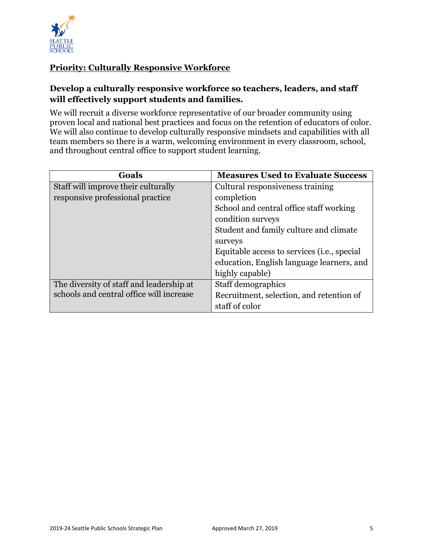

### **Priority: Culturally Responsive Workforce**

#### **Develop a culturally responsive workforce so teachers, leaders, and staff will effectively support students and families.**

We will recruit a diverse workforce representative of our broader community using proven local and national best practices and focus on the retention of educators of color. We will also continue to develop culturally responsive mindsets and capabilities with all team members so there is a warm, welcoming environment in every classroom, school, and throughout central office to support student learning.

| Goals                                    | <b>Measures Used to Evaluate Success</b>             |
|------------------------------------------|------------------------------------------------------|
| Staff will improve their culturally      | Cultural responsiveness training                     |
| responsive professional practice         | completion                                           |
|                                          | School and central office staff working              |
|                                          | condition surveys                                    |
|                                          | Student and family culture and climate               |
|                                          | surveys                                              |
|                                          | Equitable access to services ( <i>i.e.</i> , special |
|                                          | education, English language learners, and            |
|                                          | highly capable)                                      |
| The diversity of staff and leadership at | Staff demographics                                   |
| schools and central office will increase | Recruitment, selection, and retention of             |
|                                          | staff of color                                       |